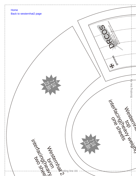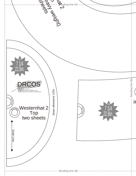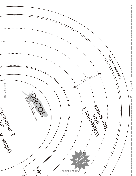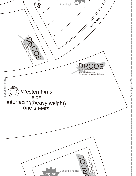